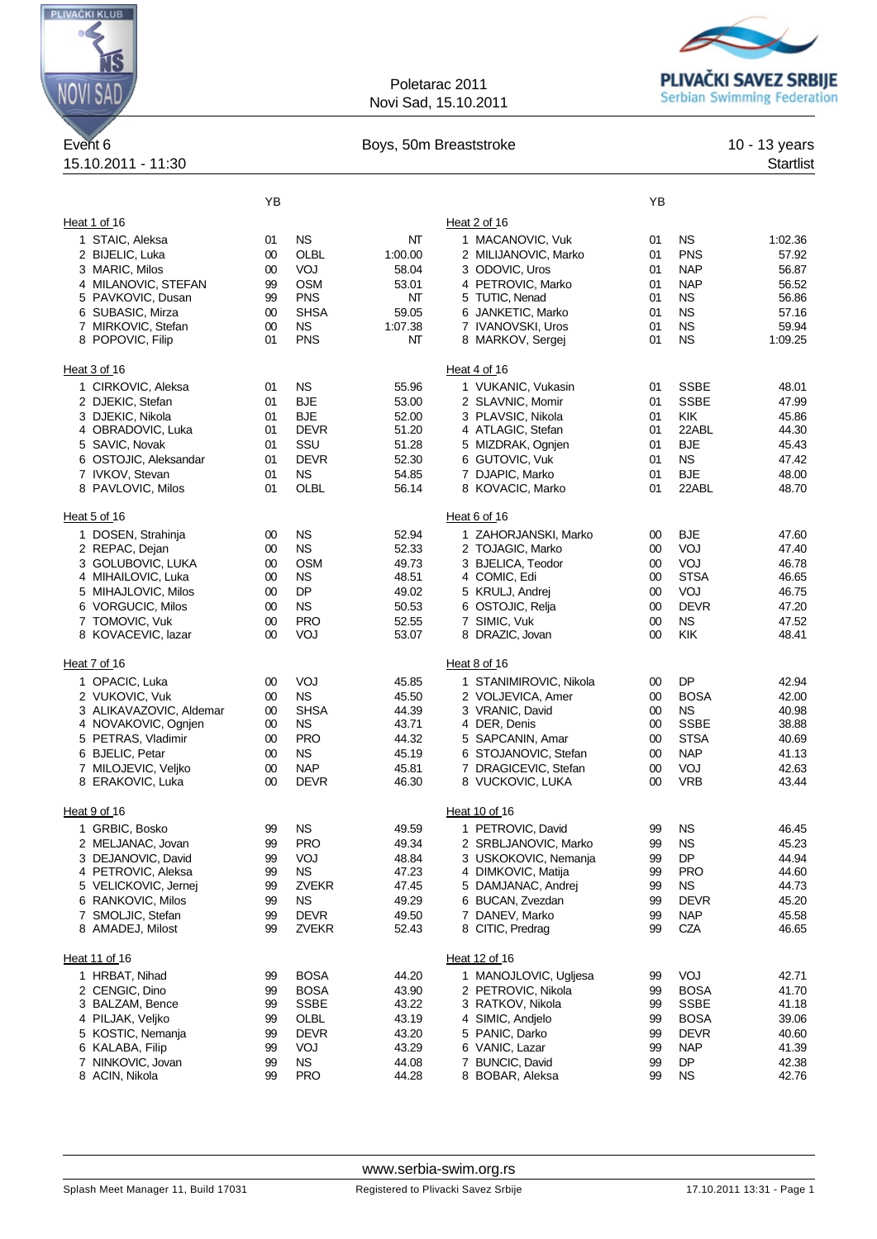

## Poletarac 2011 Novi Sad, 15.10.2011



## Event 6 **Boys, 50m Breaststroke** 10 - 13 years 10 - 13 years 10 - 13 years 10 - 13 years 10 - 13 years 10 - 13 years 10 - 13 years 10 - 13 years 10 - 13 years 10 - 13 years 10 - 13 years 10 - 13 years 10 - 13 years 10 - 13

| Event <sub>6</sub>                     |          |                           | Boys, 50m Breaststroke |                                              |          |                   |                  |
|----------------------------------------|----------|---------------------------|------------------------|----------------------------------------------|----------|-------------------|------------------|
| 15.10.2011 - 11:30                     |          |                           |                        |                                              |          |                   | <b>Startlist</b> |
|                                        | YB       |                           |                        |                                              | YΒ       |                   |                  |
| Heat 1 of 16                           |          |                           |                        | Heat 2 of 16                                 |          |                   |                  |
| 1 STAIC, Aleksa                        | 01       | <b>NS</b>                 | NT                     | 1 MACANOVIC, Vuk                             | 01       | <b>NS</b>         | 1:02.36          |
| 2 BIJELIC, Luka                        | 00       | OLBL                      | 1:00.00                | 2 MILIJANOVIC, Marko                         | 01       | <b>PNS</b>        | 57.92            |
| 3 MARIC, Milos                         | 00       | VOJ                       | 58.04                  | 3 ODOVIC, Uros                               | 01       | <b>NAP</b>        | 56.87            |
| 4 MILANOVIC, STEFAN                    | 99       | <b>OSM</b>                | 53.01                  | 4 PETROVIC, Marko                            | 01       | <b>NAP</b>        | 56.52            |
| 5 PAVKOVIC, Dusan                      | 99       | <b>PNS</b>                | NT                     | 5 TUTIC, Nenad                               | 01       | ΝS                | 56.86            |
| 6 SUBASIC, Mirza                       | 00       | <b>SHSA</b>               | 59.05                  | 6 JANKETIC, Marko                            | 01       | <b>NS</b>         | 57.16            |
| 7 MIRKOVIC, Stefan                     | 00       | <b>NS</b>                 | 1:07.38                | 7 IVANOVSKI, Uros                            | 01       | <b>NS</b>         | 59.94            |
| 8 POPOVIC, Filip                       | 01       | <b>PNS</b>                | NT                     | 8 MARKOV, Sergej                             | 01       | <b>NS</b>         | 1:09.25          |
| Heat 3 of 16                           |          |                           |                        | Heat 4 of 16                                 |          |                   |                  |
| 1 CIRKOVIC, Aleksa                     | 01       | <b>NS</b>                 | 55.96                  | 1 VUKANIC, Vukasin                           | 01       | <b>SSBE</b>       | 48.01            |
| 2 DJEKIC, Stefan                       | 01       | <b>BJE</b>                | 53.00                  | 2 SLAVNIC, Momir                             | 01       | <b>SSBE</b>       | 47.99            |
| 3 DJEKIC, Nikola                       | 01<br>01 | <b>BJE</b><br><b>DEVR</b> | 52.00                  | 3 PLAVSIC, Nikola                            | 01<br>01 | KIK<br>22ABL      | 45.86            |
| 4 OBRADOVIC, Luka<br>5 SAVIC, Novak    | 01       | SSU                       | 51.20<br>51.28         | 4 ATLAGIC, Stefan<br>5 MIZDRAK, Ognjen       | 01       | <b>BJE</b>        | 44.30<br>45.43   |
| 6 OSTOJIC, Aleksandar                  | 01       | <b>DEVR</b>               | 52.30                  | 6 GUTOVIC, Vuk                               | 01       | <b>NS</b>         | 47.42            |
| 7 IVKOV, Stevan                        | 01       | <b>NS</b>                 | 54.85                  | 7 DJAPIC, Marko                              | 01       | <b>BJE</b>        | 48.00            |
| 8 PAVLOVIC, Milos                      | 01       | OLBL                      | 56.14                  | 8 KOVACIC, Marko                             | 01       | 22ABL             | 48.70            |
| Heat 5 of 16                           |          |                           |                        | Heat 6 of 16                                 |          |                   |                  |
| 1 DOSEN, Strahinja                     | 00       | <b>NS</b>                 | 52.94                  | 1 ZAHORJANSKI, Marko                         | 00       | <b>BJE</b>        | 47.60            |
| 2 REPAC, Dejan                         | 00       | <b>NS</b>                 | 52.33                  | 2 TOJAGIC, Marko                             | 00       | VOJ               | 47.40            |
| 3 GOLUBOVIC, LUKA                      | 00       | <b>OSM</b>                | 49.73                  | 3 BJELICA, Teodor                            | 00       | VOJ               | 46.78            |
| 4 MIHAILOVIC, Luka                     | 00       | <b>NS</b>                 | 48.51                  | 4 COMIC, Edi                                 | 00       | <b>STSA</b>       | 46.65            |
| 5 MIHAJLOVIC, Milos                    | 00       | DP                        | 49.02                  | 5 KRULJ, Andrej                              | 00       | VOJ               | 46.75            |
| 6 VORGUCIC, Milos                      | 00       | <b>NS</b>                 | 50.53                  | 6 OSTOJIC, Relja                             | 00       | <b>DEVR</b>       | 47.20            |
| 7 TOMOVIC, Vuk                         | 00       | <b>PRO</b>                | 52.55                  | 7 SIMIC, Vuk                                 | $00\,$   | <b>NS</b>         | 47.52            |
| 8 KOVACEVIC, lazar                     | 00       | VOJ                       | 53.07                  | 8 DRAZIC, Jovan                              | $00\,$   | KIK               | 48.41            |
| Heat 7 of 16                           |          |                           |                        | Heat 8 of 16                                 |          |                   |                  |
| 1 OPACIC, Luka                         | 00       | VOJ                       | 45.85                  | 1 STANIMIROVIC, Nikola                       | 00       | DP                | 42.94            |
| 2 VUKOVIC, Vuk                         | 00       | <b>NS</b>                 | 45.50                  | 2 VOLJEVICA, Amer                            | 00       | <b>BOSA</b>       | 42.00            |
| 3 ALIKAVAZOVIC, Aldemar                | 00       | <b>SHSA</b>               | 44.39                  | 3 VRANIC, David                              | $00\,$   | NS.               | 40.98            |
| 4 NOVAKOVIC, Ognjen                    | 00       | ΝS                        | 43.71                  | 4 DER, Denis                                 | 00       | <b>SSBE</b>       | 38.88            |
| 5 PETRAS, Vladimir                     | 00       | <b>PRO</b>                | 44.32                  | 5 SAPCANIN, Amar                             | 00       | <b>STSA</b>       | 40.69            |
| 6 BJELIC, Petar<br>7 MILOJEVIC, Veljko | 00<br>00 | <b>NS</b><br><b>NAP</b>   | 45.19<br>45.81         | 6 STOJANOVIC, Stefan<br>7 DRAGICEVIC, Stefan | 00<br>00 | <b>NAP</b><br>VOJ | 41.13<br>42.63   |
| 8 ERAKOVIC, Luka                       | 00       | <b>DEVR</b>               | 46.30                  | 8 VUCKOVIC, LUKA                             | 00       | <b>VRB</b>        | 43.44            |
| Heat 9 of 16                           |          |                           |                        | Heat 10 of 16                                |          |                   |                  |
| 1 GRBIC, Bosko                         | 99       | <b>NS</b>                 | 49.59                  | 1 PETROVIC, David                            | 99       | <b>NS</b>         | 46.45            |
| 2 MELJANAC, Jovan                      | 99       | <b>PRO</b>                | 49.34                  | 2 SRBLJANOVIC, Marko                         | 99       | <b>NS</b>         | 45.23            |
| 3 DEJANOVIC, David                     | 99       | VOJ                       | 48.84                  | 3 USKOKOVIC, Nemanja                         | 99       | DP                | 44.94            |
| 4 PETROVIC, Aleksa                     | 99       | <b>NS</b>                 | 47.23                  | 4 DIMKOVIC, Matija                           | 99       | <b>PRO</b>        | 44.60            |
| 5 VELICKOVIC, Jernej                   | 99       | <b>ZVEKR</b>              | 47.45                  | 5 DAMJANAC, Andrej                           | 99       | <b>NS</b>         | 44.73            |
| 6 RANKOVIC, Milos                      | 99       | <b>NS</b>                 | 49.29                  | 6 BUCAN, Zvezdan                             | 99       | <b>DEVR</b>       | 45.20            |
| 7 SMOLJIC, Stefan                      | 99       | <b>DEVR</b>               | 49.50                  | 7 DANEV, Marko                               | 99       | <b>NAP</b>        | 45.58            |
| 8 AMADEJ, Milost                       | 99       | <b>ZVEKR</b>              | 52.43                  | 8 CITIC, Predrag                             | 99       | CZA               | 46.65            |
| Heat 11 of 16                          |          |                           |                        | Heat 12 of 16                                |          |                   |                  |
| 1 HRBAT, Nihad                         | 99       | <b>BOSA</b>               | 44.20                  | 1 MANOJLOVIC, Ugljesa                        | 99       | VOJ               | 42.71            |
| 2 CENGIC, Dino                         | 99       | <b>BOSA</b>               | 43.90                  | 2 PETROVIC, Nikola                           | 99       | <b>BOSA</b>       | 41.70            |
| 3 BALZAM, Bence                        | 99       | <b>SSBE</b>               | 43.22                  | 3 RATKOV, Nikola                             | 99       | <b>SSBE</b>       | 41.18            |
| 4 PILJAK, Veljko                       | 99       | OLBL                      | 43.19                  | 4 SIMIC, Andjelo                             | 99       | <b>BOSA</b>       | 39.06            |
| 5 KOSTIC, Nemanja                      | 99       | <b>DEVR</b>               | 43.20                  | 5 PANIC, Darko                               | 99       | <b>DEVR</b>       | 40.60            |
| 6 KALABA, Filip                        | 99       | VOJ                       | 43.29                  | 6 VANIC, Lazar                               | 99       | <b>NAP</b>        | 41.39            |
| 7 NINKOVIC, Jovan                      | 99       | <b>NS</b>                 | 44.08                  | 7 BUNCIC, David                              | 99       | DP                | 42.38            |
| 8 ACIN, Nikola                         | 99       | <b>PRO</b>                | 44.28                  | 8 BOBAR, Aleksa                              | 99       | <b>NS</b>         | 42.76            |